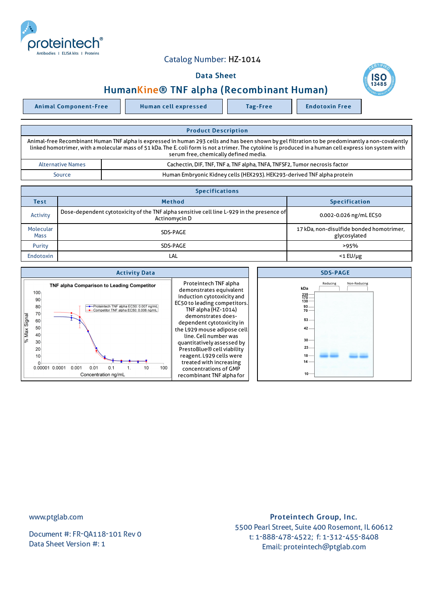

## Catalog Number: HZ-1014

## Data Sheet





| <b>Product Description</b>                                                                                                                                                                                                                                                                                                                           |                                                                            |  |  |  |
|------------------------------------------------------------------------------------------------------------------------------------------------------------------------------------------------------------------------------------------------------------------------------------------------------------------------------------------------------|----------------------------------------------------------------------------|--|--|--|
| Animal-free Recombinant Human TNF alpha is expressed in human 293 cells and has been shown by gel filtration to be predominantly a non-covalently<br>linked homotrimer, with a molecular mass of 51 kDa. The E. coli form is not a trimer. The cytokine is produced in a human cell express ion system with<br>serum free, chemically defined media. |                                                                            |  |  |  |
| <b>Alternative Names</b>                                                                                                                                                                                                                                                                                                                             | Cachectin, DIF, TNF, TNF a, TNF alpha, TNFA, TNFSF2, Tumor necrosis factor |  |  |  |
| Source                                                                                                                                                                                                                                                                                                                                               | Human Embryonic Kidney cells (HEK293). HEK293-derived TNF alpha protein    |  |  |  |

| <b>Specifications</b>    |                                                                                                            |                                                          |  |  |  |
|--------------------------|------------------------------------------------------------------------------------------------------------|----------------------------------------------------------|--|--|--|
| <b>Test</b>              | <b>Method</b>                                                                                              | <b>Specification</b>                                     |  |  |  |
| Activity                 | Dose-dependent cytotoxicity of the TNF alpha sensitive cell line L-929 in the presence of<br>Actinomycin D | 0.002-0.026 ng/mL EC50                                   |  |  |  |
| Molecular<br><b>Mass</b> | SDS-PAGE                                                                                                   | 17 kDa, non-disulfide bonded homotrimer,<br>glycosylated |  |  |  |
| Purity                   | SDS-PAGE                                                                                                   | >95%                                                     |  |  |  |
| Endotoxin                | LAL                                                                                                        | $<$ 1 $E$ U/µg                                           |  |  |  |



www.ptglab.com

Document #: FR-QA118-101 Rev 0 Data Sheet Version #: 1

Proteintech Group, Inc. 5500 Pearl Street, Suite 400 Rosemont, IL 60612 t: 1-888-478-4522; f: 1-312-455-8408 Email: proteintech@ptglab.com

**SC**